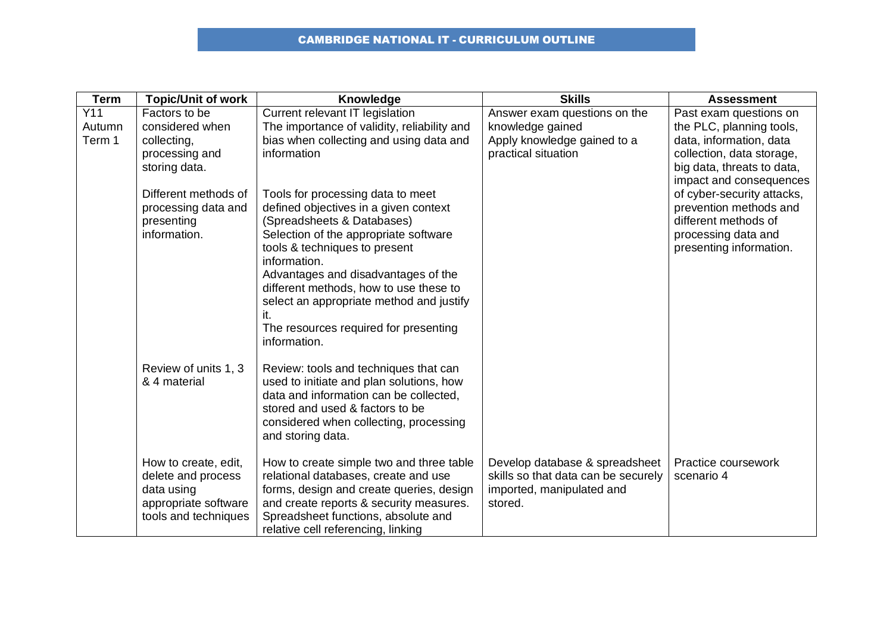## CAMBRIDGE NATIONAL IT - CURRICULUM OUTLINE

| <b>Term</b> | <b>Topic/Unit of work</b>            | Knowledge                                                                          | <b>Skills</b>                       | <b>Assessment</b>                              |
|-------------|--------------------------------------|------------------------------------------------------------------------------------|-------------------------------------|------------------------------------------------|
| Y11         | Factors to be                        | Current relevant IT legislation                                                    | Answer exam questions on the        | Past exam questions on                         |
| Autumn      | considered when                      | The importance of validity, reliability and                                        | knowledge gained                    | the PLC, planning tools,                       |
| Term 1      | collecting,                          | bias when collecting and using data and                                            | Apply knowledge gained to a         | data, information, data                        |
|             | processing and                       | information                                                                        | practical situation                 | collection, data storage,                      |
|             | storing data.                        |                                                                                    |                                     | big data, threats to data,                     |
|             |                                      |                                                                                    |                                     | impact and consequences                        |
|             | Different methods of                 | Tools for processing data to meet                                                  |                                     | of cyber-security attacks,                     |
|             | processing data and<br>presenting    | defined objectives in a given context<br>(Spreadsheets & Databases)                |                                     | prevention methods and<br>different methods of |
|             | information.                         | Selection of the appropriate software                                              |                                     | processing data and                            |
|             |                                      | tools & techniques to present                                                      |                                     | presenting information.                        |
|             |                                      | information.                                                                       |                                     |                                                |
|             |                                      | Advantages and disadvantages of the                                                |                                     |                                                |
|             |                                      | different methods, how to use these to                                             |                                     |                                                |
|             |                                      | select an appropriate method and justify                                           |                                     |                                                |
|             |                                      | it.                                                                                |                                     |                                                |
|             |                                      | The resources required for presenting                                              |                                     |                                                |
|             |                                      | information.                                                                       |                                     |                                                |
|             |                                      |                                                                                    |                                     |                                                |
|             | Review of units 1, 3<br>& 4 material | Review: tools and techniques that can                                              |                                     |                                                |
|             |                                      | used to initiate and plan solutions, how<br>data and information can be collected. |                                     |                                                |
|             |                                      | stored and used & factors to be                                                    |                                     |                                                |
|             |                                      | considered when collecting, processing                                             |                                     |                                                |
|             |                                      | and storing data.                                                                  |                                     |                                                |
|             |                                      |                                                                                    |                                     |                                                |
|             | How to create, edit,                 | How to create simple two and three table                                           | Develop database & spreadsheet      | Practice coursework                            |
|             | delete and process                   | relational databases, create and use                                               | skills so that data can be securely | scenario 4                                     |
|             | data using                           | forms, design and create queries, design                                           | imported, manipulated and           |                                                |
|             | appropriate software                 | and create reports & security measures.                                            | stored.                             |                                                |
|             | tools and techniques                 | Spreadsheet functions, absolute and                                                |                                     |                                                |
|             |                                      | relative cell referencing, linking                                                 |                                     |                                                |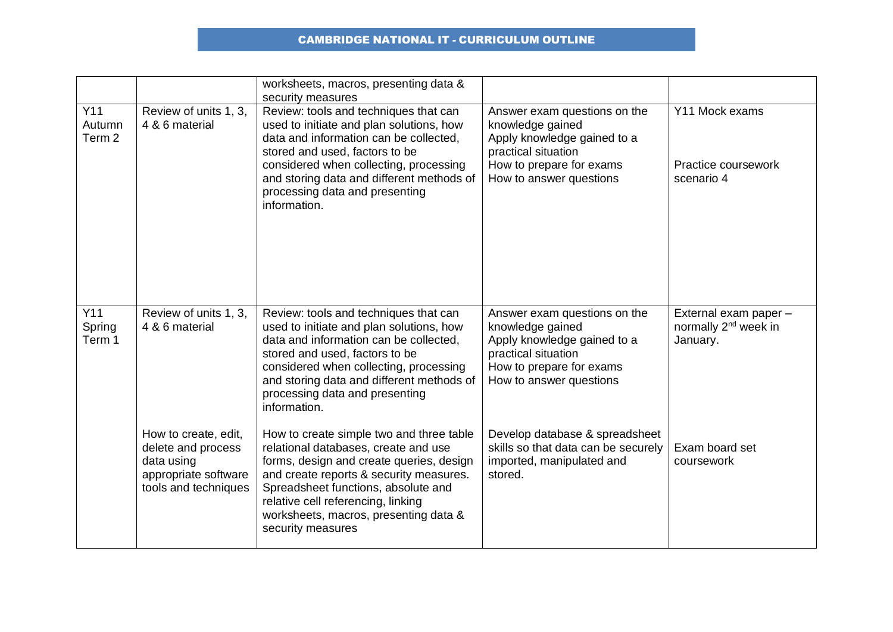## CAMBRIDGE NATIONAL IT - CURRICULUM OUTLINE

|                                    |                                                                                                          | worksheets, macros, presenting data &<br>security measures                                                                                                                                                                                                                                                         |                                                                                                                                                               |                                                                       |
|------------------------------------|----------------------------------------------------------------------------------------------------------|--------------------------------------------------------------------------------------------------------------------------------------------------------------------------------------------------------------------------------------------------------------------------------------------------------------------|---------------------------------------------------------------------------------------------------------------------------------------------------------------|-----------------------------------------------------------------------|
| Y11<br>Autumn<br>Term <sub>2</sub> | Review of units 1, 3,<br>4 & 6 material                                                                  | Review: tools and techniques that can<br>used to initiate and plan solutions, how<br>data and information can be collected,<br>stored and used, factors to be<br>considered when collecting, processing<br>and storing data and different methods of<br>processing data and presenting<br>information.             | Answer exam questions on the<br>knowledge gained<br>Apply knowledge gained to a<br>practical situation<br>How to prepare for exams<br>How to answer questions | Y11 Mock exams<br>Practice coursework<br>scenario 4                   |
| Y11<br>Spring<br>Term 1            | Review of units 1, 3,<br>4 & 6 material                                                                  | Review: tools and techniques that can<br>used to initiate and plan solutions, how<br>data and information can be collected,<br>stored and used, factors to be<br>considered when collecting, processing<br>and storing data and different methods of<br>processing data and presenting<br>information.             | Answer exam questions on the<br>knowledge gained<br>Apply knowledge gained to a<br>practical situation<br>How to prepare for exams<br>How to answer questions | External exam paper -<br>normally 2 <sup>nd</sup> week in<br>January. |
|                                    | How to create, edit,<br>delete and process<br>data using<br>appropriate software<br>tools and techniques | How to create simple two and three table<br>relational databases, create and use<br>forms, design and create queries, design<br>and create reports & security measures.<br>Spreadsheet functions, absolute and<br>relative cell referencing, linking<br>worksheets, macros, presenting data &<br>security measures | Develop database & spreadsheet<br>skills so that data can be securely<br>imported, manipulated and<br>stored.                                                 | Exam board set<br>coursework                                          |